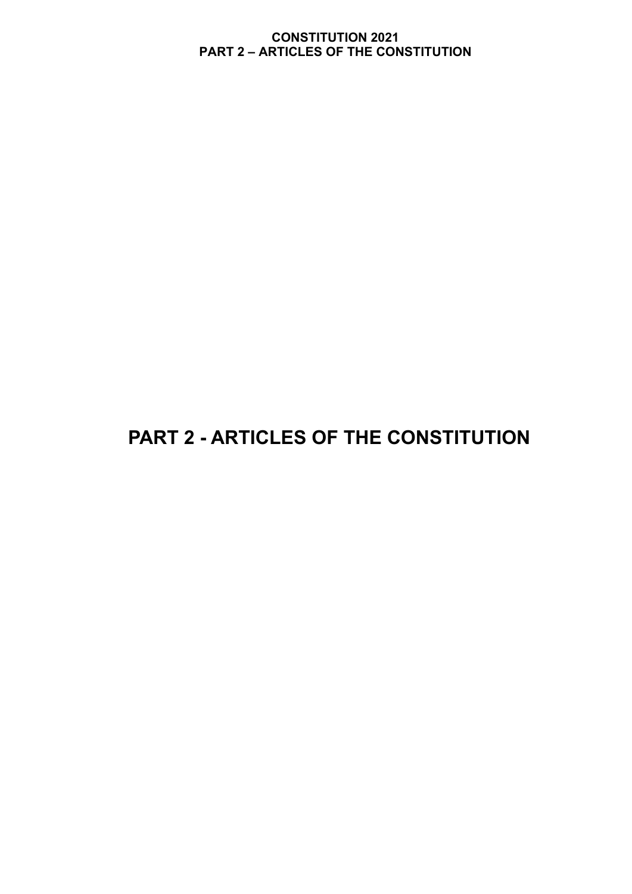# **PART 2 - ARTICLES OF THE CONSTITUTION**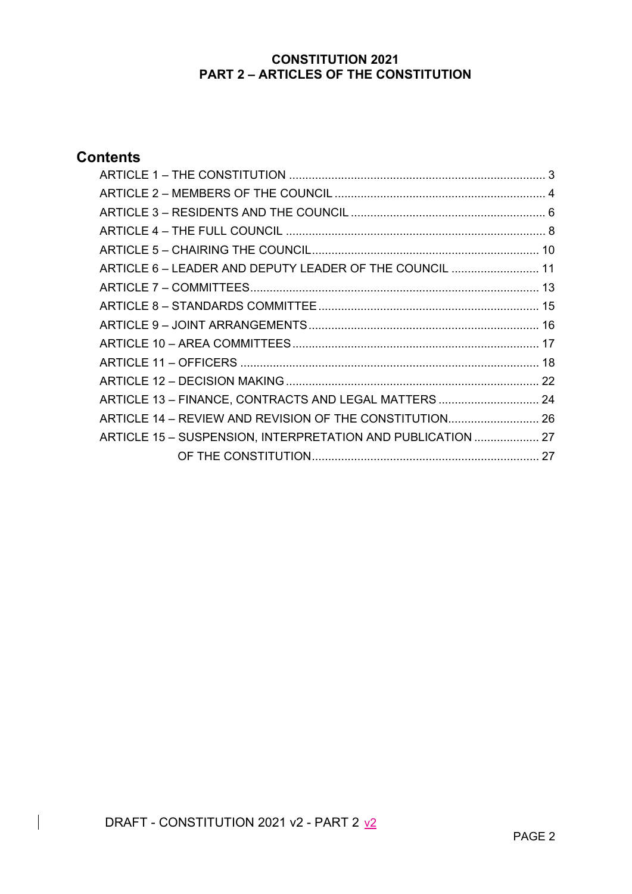# **Contents**

| ARTICLE 6 - LEADER AND DEPUTY LEADER OF THE COUNCIL  11     |  |
|-------------------------------------------------------------|--|
|                                                             |  |
|                                                             |  |
|                                                             |  |
|                                                             |  |
|                                                             |  |
|                                                             |  |
| ARTICLE 13 - FINANCE, CONTRACTS AND LEGAL MATTERS  24       |  |
| ARTICLE 14 - REVIEW AND REVISION OF THE CONSTITUTION 26     |  |
| ARTICLE 15 - SUSPENSION, INTERPRETATION AND PUBLICATION  27 |  |
|                                                             |  |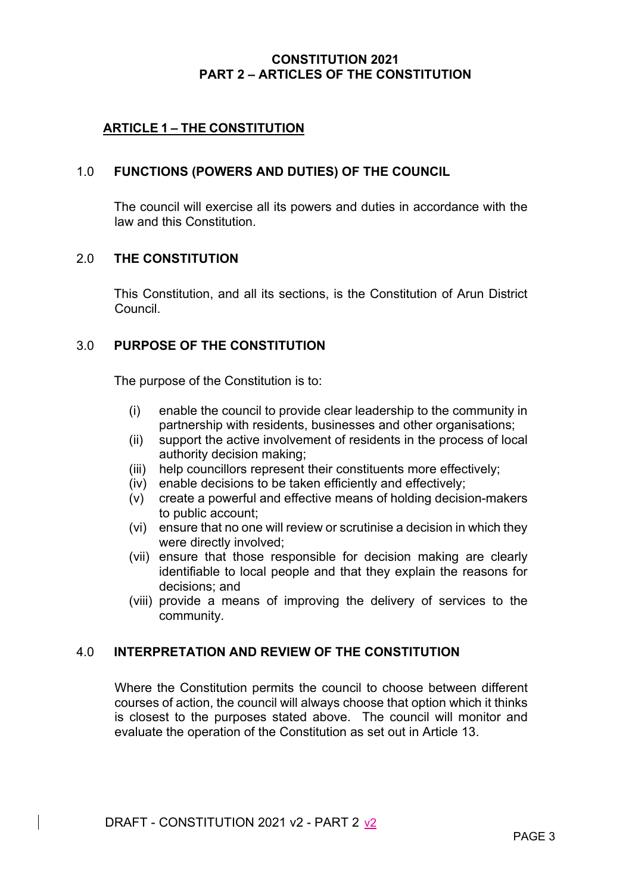## **ARTICLE 1 – THE CONSTITUTION**

## 1.0 **FUNCTIONS (POWERS AND DUTIES) OF THE COUNCIL**

The council will exercise all its powers and duties in accordance with the law and this Constitution.

#### 2.0 **THE CONSTITUTION**

This Constitution, and all its sections, is the Constitution of Arun District Council.

## 3.0 **PURPOSE OF THE CONSTITUTION**

The purpose of the Constitution is to:

- (i) enable the council to provide clear leadership to the community in partnership with residents, businesses and other organisations;
- (ii) support the active involvement of residents in the process of local authority decision making;
- (iii) help councillors represent their constituents more effectively;
- (iv) enable decisions to be taken efficiently and effectively;
- (v) create a powerful and effective means of holding decision-makers to public account;
- (vi) ensure that no one will review or scrutinise a decision in which they were directly involved;
- (vii) ensure that those responsible for decision making are clearly identifiable to local people and that they explain the reasons for decisions; and
- (viii) provide a means of improving the delivery of services to the community.

#### 4.0 **INTERPRETATION AND REVIEW OF THE CONSTITUTION**

Where the Constitution permits the council to choose between different courses of action, the council will always choose that option which it thinks is closest to the purposes stated above. The council will monitor and evaluate the operation of the Constitution as set out in Article 13.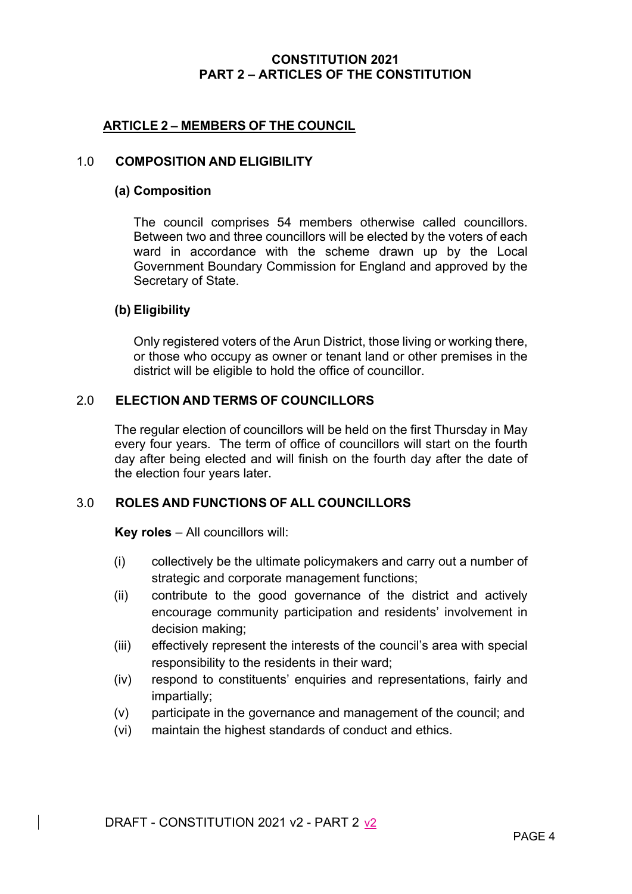## **ARTICLE 2 – MEMBERS OF THE COUNCIL**

## 1.0 **COMPOSITION AND ELIGIBILITY**

#### **(a) Composition**

The council comprises 54 members otherwise called councillors. Between two and three councillors will be elected by the voters of each ward in accordance with the scheme drawn up by the Local Government Boundary Commission for England and approved by the Secretary of State.

#### **(b) Eligibility**

Only registered voters of the Arun District, those living or working there, or those who occupy as owner or tenant land or other premises in the district will be eligible to hold the office of councillor.

#### 2.0 **ELECTION AND TERMS OF COUNCILLORS**

The regular election of councillors will be held on the first Thursday in May every four years. The term of office of councillors will start on the fourth day after being elected and will finish on the fourth day after the date of the election four years later.

## 3.0 **ROLES AND FUNCTIONS OF ALL COUNCILLORS**

**Key roles** – All councillors will:

- (i) collectively be the ultimate policymakers and carry out a number of strategic and corporate management functions;
- (ii) contribute to the good governance of the district and actively encourage community participation and residents' involvement in decision making;
- (iii) effectively represent the interests of the council's area with special responsibility to the residents in their ward;
- (iv) respond to constituents' enquiries and representations, fairly and impartially;
- (v) participate in the governance and management of the council; and
- (vi) maintain the highest standards of conduct and ethics.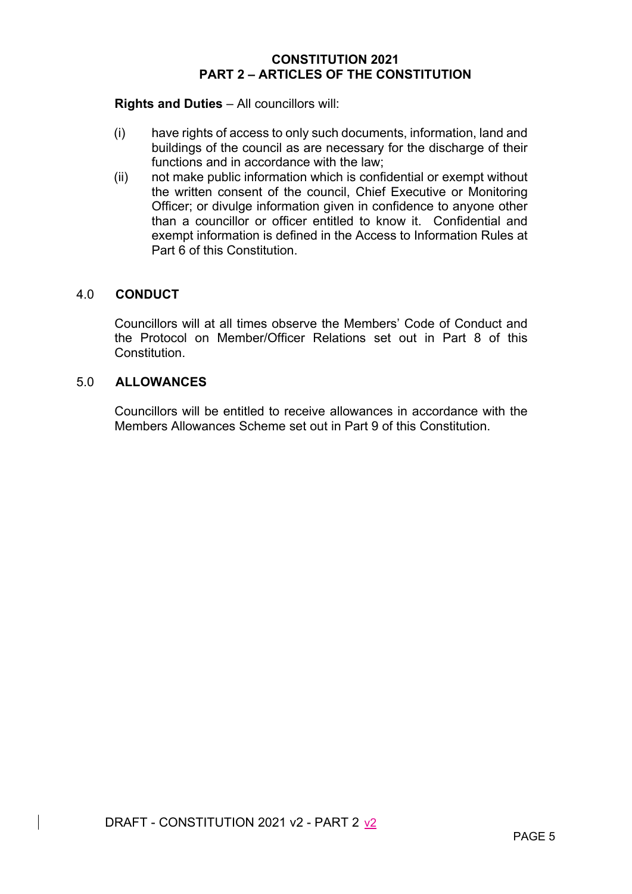#### **Rights and Duties** – All councillors will:

- (i) have rights of access to only such documents, information, land and buildings of the council as are necessary for the discharge of their functions and in accordance with the law;
- (ii) not make public information which is confidential or exempt without the written consent of the council, Chief Executive or Monitoring Officer; or divulge information given in confidence to anyone other than a councillor or officer entitled to know it. Confidential and exempt information is defined in the Access to Information Rules at Part 6 of this Constitution.

#### 4.0 **CONDUCT**

Councillors will at all times observe the Members' Code of Conduct and the Protocol on Member/Officer Relations set out in Part 8 of this **Constitution** 

#### 5.0 **ALLOWANCES**

Councillors will be entitled to receive allowances in accordance with the Members Allowances Scheme set out in Part 9 of this Constitution.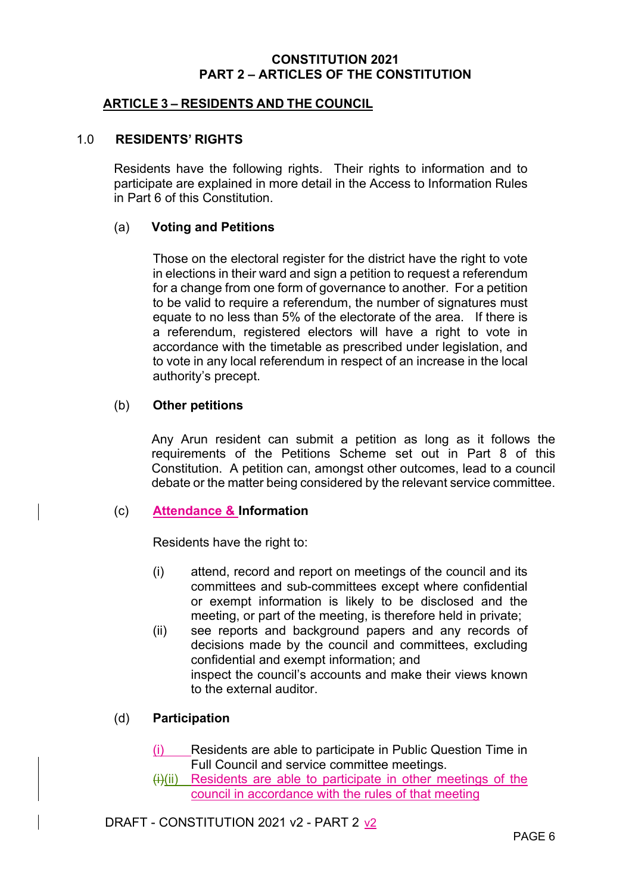## **ARTICLE 3 – RESIDENTS AND THE COUNCIL**

#### 1.0 **RESIDENTS' RIGHTS**

Residents have the following rights. Their rights to information and to participate are explained in more detail in the Access to Information Rules in Part 6 of this Constitution.

#### (a) **Voting and Petitions**

Those on the electoral register for the district have the right to vote in elections in their ward and sign a petition to request a referendum for a change from one form of governance to another. For a petition to be valid to require a referendum, the number of signatures must equate to no less than 5% of the electorate of the area. If there is a referendum, registered electors will have a right to vote in accordance with the timetable as prescribed under legislation, and to vote in any local referendum in respect of an increase in the local authority's precept.

#### (b) **Other petitions**

Any Arun resident can submit a petition as long as it follows the requirements of the Petitions Scheme set out in Part 8 of this Constitution. A petition can, amongst other outcomes, lead to a council debate or the matter being considered by the relevant service committee.

#### (c) **Attendance & Information**

Residents have the right to:

- (i) attend, record and report on meetings of the council and its committees and sub-committees except where confidential or exempt information is likely to be disclosed and the meeting, or part of the meeting, is therefore held in private;
- (ii) see reports and background papers and any records of decisions made by the council and committees, excluding confidential and exempt information; and inspect the council's accounts and make their views known to the external auditor.

## (d) **Participation**

- (i) Residents are able to participate in Public Question Time in Full Council and service committee meetings.
- $(H)(ii)$  Residents are able to participate in other meetings of the council in accordance with the rules of that meeting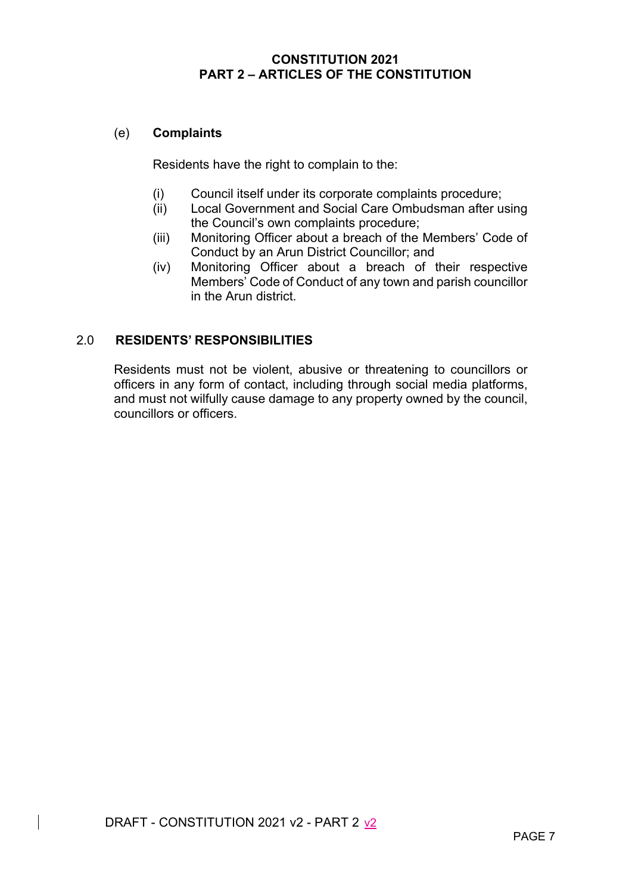## (e) **Complaints**

Residents have the right to complain to the:

- (i) Council itself under its corporate complaints procedure;
- (ii) Local Government and Social Care Ombudsman after using the Council's own complaints procedure;
- (iii) Monitoring Officer about a breach of the Members' Code of Conduct by an Arun District Councillor; and
- (iv) Monitoring Officer about a breach of their respective Members' Code of Conduct of any town and parish councillor in the Arun district.

## 2.0 **RESIDENTS' RESPONSIBILITIES**

Residents must not be violent, abusive or threatening to councillors or officers in any form of contact, including through social media platforms, and must not wilfully cause damage to any property owned by the council, councillors or officers.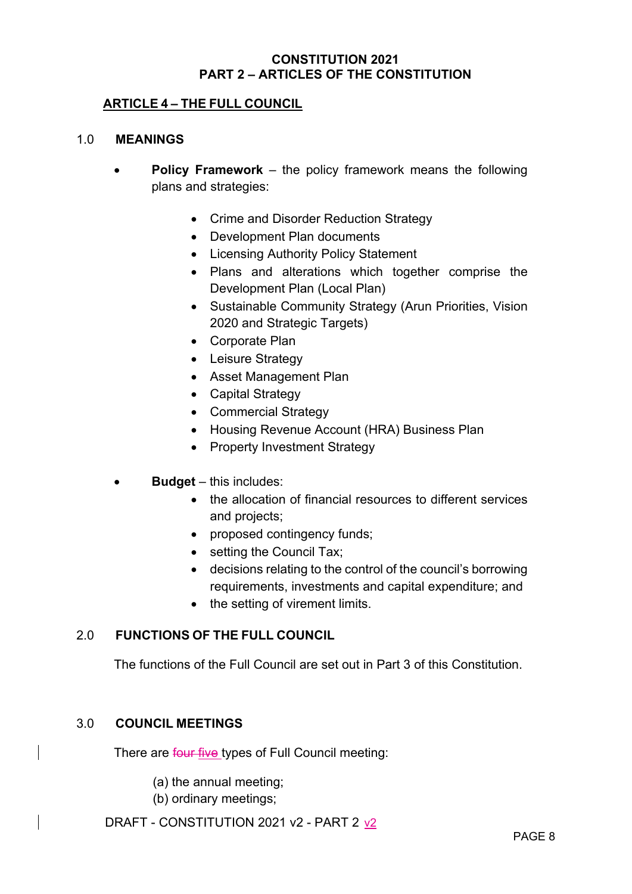## **ARTICLE 4 – THE FULL COUNCIL**

#### 1.0 **MEANINGS**

- **Policy Framework** the policy framework means the following plans and strategies:
	- Crime and Disorder Reduction Strategy
	- Development Plan documents
	- Licensing Authority Policy Statement
	- Plans and alterations which together comprise the Development Plan (Local Plan)
	- Sustainable Community Strategy (Arun Priorities, Vision 2020 and Strategic Targets)
	- Corporate Plan
	- Leisure Strategy
	- Asset Management Plan
	- Capital Strategy
	- Commercial Strategy
	- Housing Revenue Account (HRA) Business Plan
	- Property Investment Strategy
- **Budget**  this includes:
	- the allocation of financial resources to different services and projects;
	- proposed contingency funds;
	- setting the Council Tax;
	- decisions relating to the control of the council's borrowing requirements, investments and capital expenditure; and
	- the setting of virement limits.

## 2.0 **FUNCTIONS OF THE FULL COUNCIL**

The functions of the Full Council are set out in Part 3 of this Constitution.

## 3.0 **COUNCIL MEETINGS**

There are four five types of Full Council meeting:

- (a) the annual meeting;
- (b) ordinary meetings;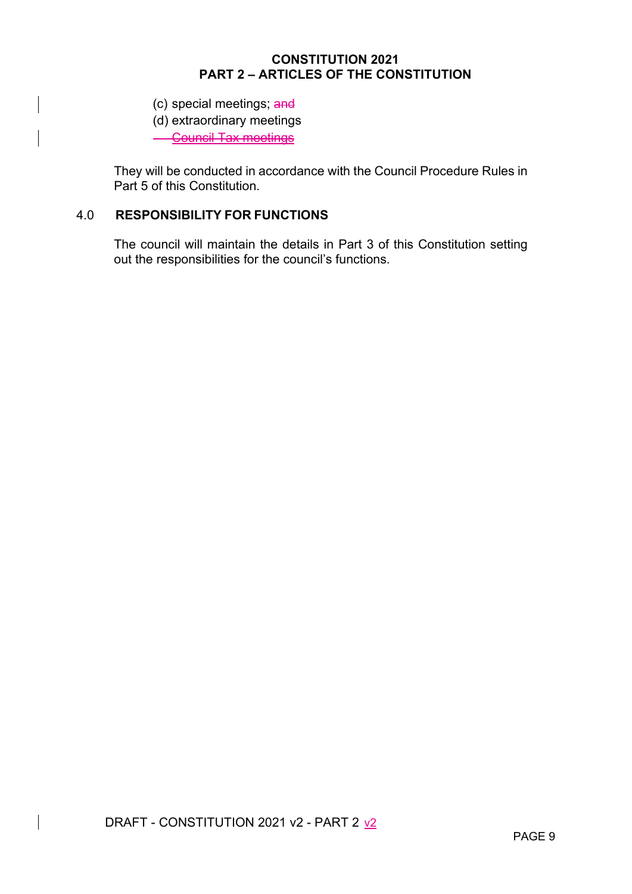- (c) special meetings; and
- (d) extraordinary meetings

**Council Tax meetings** 

They will be conducted in accordance with the Council Procedure Rules in Part 5 of this Constitution.

# 4.0 **RESPONSIBILITY FOR FUNCTIONS**

The council will maintain the details in Part 3 of this Constitution setting out the responsibilities for the council's functions.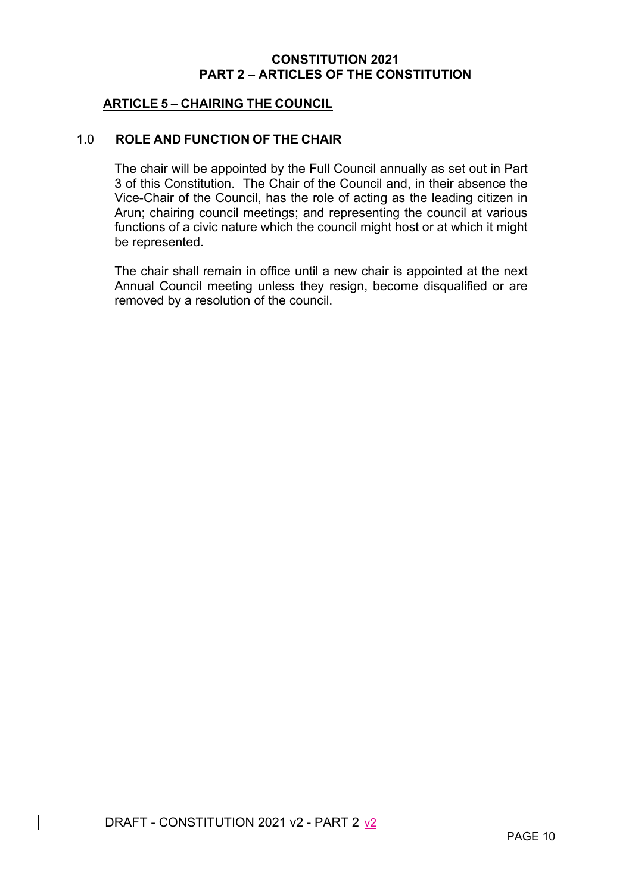## **ARTICLE 5 – CHAIRING THE COUNCIL**

## 1.0 **ROLE AND FUNCTION OF THE CHAIR**

The chair will be appointed by the Full Council annually as set out in Part 3 of this Constitution. The Chair of the Council and, in their absence the Vice-Chair of the Council, has the role of acting as the leading citizen in Arun; chairing council meetings; and representing the council at various functions of a civic nature which the council might host or at which it might be represented.

The chair shall remain in office until a new chair is appointed at the next Annual Council meeting unless they resign, become disqualified or are removed by a resolution of the council.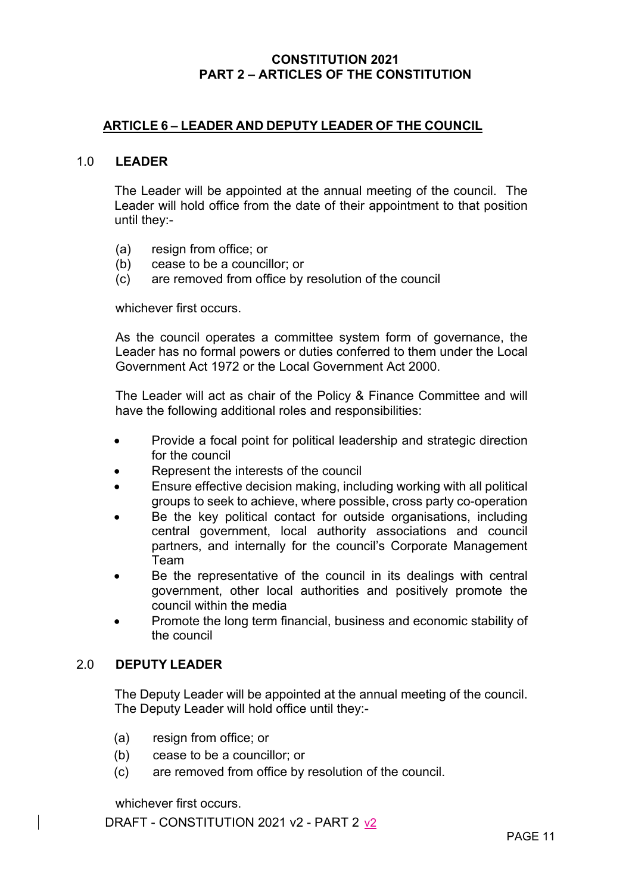## **ARTICLE 6 – LEADER AND DEPUTY LEADER OF THE COUNCIL**

#### 1.0 **LEADER**

The Leader will be appointed at the annual meeting of the council. The Leader will hold office from the date of their appointment to that position until they:-

- (a) resign from office; or
- (b) cease to be a councillor; or
- (c) are removed from office by resolution of the council

whichever first occurs.

As the council operates a committee system form of governance, the Leader has no formal powers or duties conferred to them under the Local Government Act 1972 or the Local Government Act 2000.

The Leader will act as chair of the Policy & Finance Committee and will have the following additional roles and responsibilities:

- Provide a focal point for political leadership and strategic direction for the council
- Represent the interests of the council
- Ensure effective decision making, including working with all political groups to seek to achieve, where possible, cross party co-operation
- Be the key political contact for outside organisations, including central government, local authority associations and council partners, and internally for the council's Corporate Management Team
- Be the representative of the council in its dealings with central government, other local authorities and positively promote the council within the media
- Promote the long term financial, business and economic stability of the council

#### 2.0 **DEPUTY LEADER**

The Deputy Leader will be appointed at the annual meeting of the council. The Deputy Leader will hold office until they:-

- (a) resign from office; or
- (b) cease to be a councillor; or
- (c) are removed from office by resolution of the council.

whichever first occurs.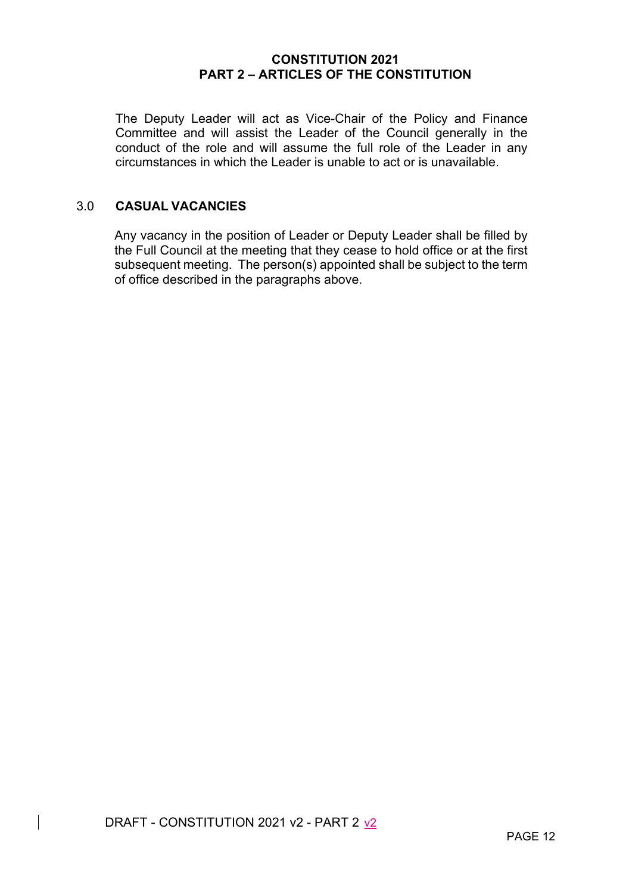The Deputy Leader will act as Vice-Chair of the Policy and Finance Committee and will assist the Leader of the Council generally in the conduct of the role and will assume the full role of the Leader in any circumstances in which the Leader is unable to act or is unavailable.

## 3.0 **CASUAL VACANCIES**

Any vacancy in the position of Leader or Deputy Leader shall be filled by the Full Council at the meeting that they cease to hold office or at the first subsequent meeting. The person(s) appointed shall be subject to the term of office described in the paragraphs above.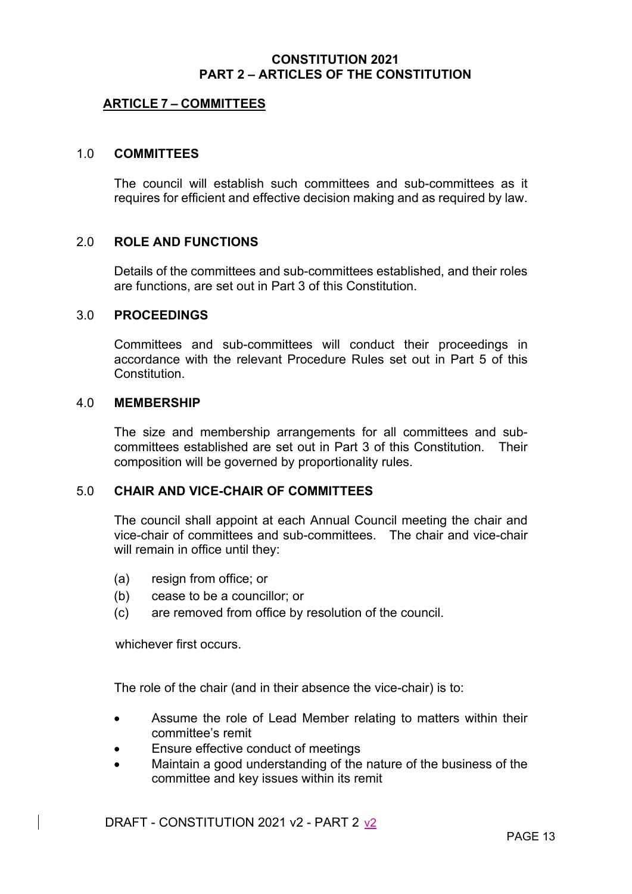## **ARTICLE 7 – COMMITTEES**

#### 1.0 **COMMITTEES**

The council will establish such committees and sub-committees as it requires for efficient and effective decision making and as required by law.

#### 2.0 **ROLE AND FUNCTIONS**

Details of the committees and sub-committees established, and their roles are functions, are set out in Part 3 of this Constitution.

#### 3.0 **PROCEEDINGS**

Committees and sub-committees will conduct their proceedings in accordance with the relevant Procedure Rules set out in Part 5 of this **Constitution** 

#### 4.0 **MEMBERSHIP**

The size and membership arrangements for all committees and subcommittees established are set out in Part 3 of this Constitution. Their composition will be governed by proportionality rules.

#### 5.0 **CHAIR AND VICE-CHAIR OF COMMITTEES**

The council shall appoint at each Annual Council meeting the chair and vice-chair of committees and sub-committees. The chair and vice-chair will remain in office until they:

- (a) resign from office; or
- (b) cease to be a councillor; or
- (c) are removed from office by resolution of the council.

whichever first occurs.

The role of the chair (and in their absence the vice-chair) is to:

- Assume the role of Lead Member relating to matters within their committee's remit
- **Ensure effective conduct of meetings**
- Maintain a good understanding of the nature of the business of the committee and key issues within its remit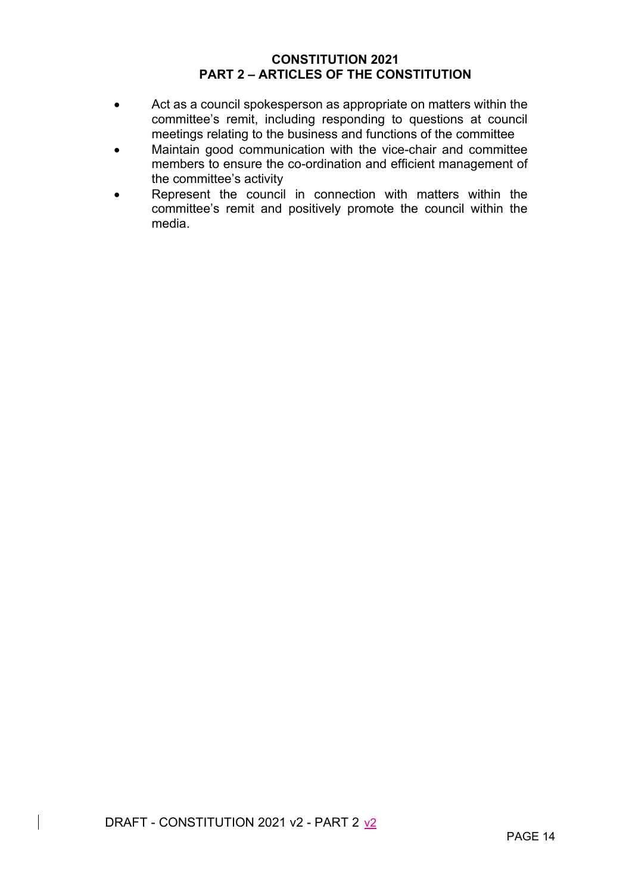- Act as a council spokesperson as appropriate on matters within the committee's remit, including responding to questions at council meetings relating to the business and functions of the committee
- Maintain good communication with the vice-chair and committee members to ensure the co-ordination and efficient management of the committee's activity
- Represent the council in connection with matters within the committee's remit and positively promote the council within the media.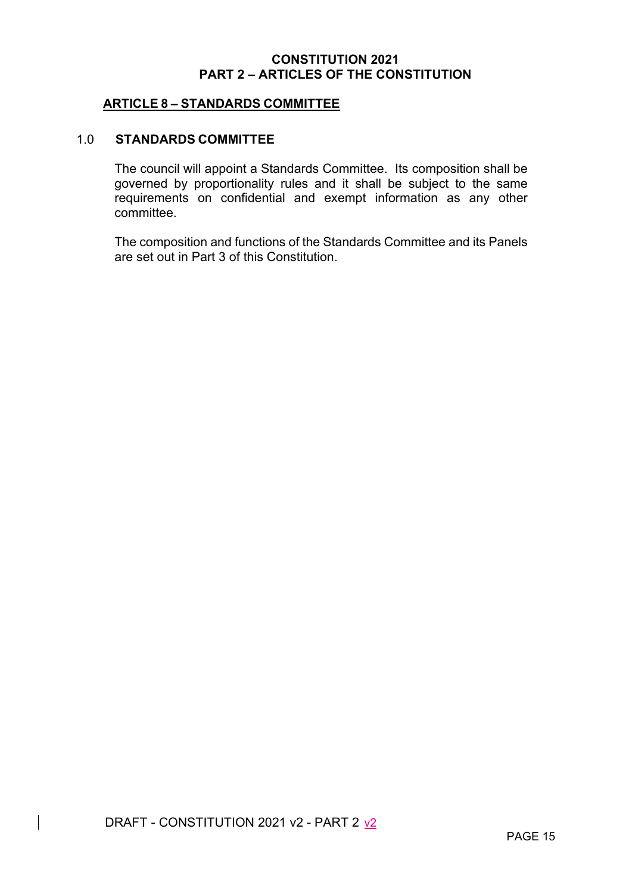## **ARTICLE 8 – STANDARDS COMMITTEE**

#### 1.0 **STANDARDS COMMITTEE**

The council will appoint a Standards Committee. Its composition shall be governed by proportionality rules and it shall be subject to the same requirements on confidential and exempt information as any other committee.

The composition and functions of the Standards Committee and its Panels are set out in Part 3 of this Constitution.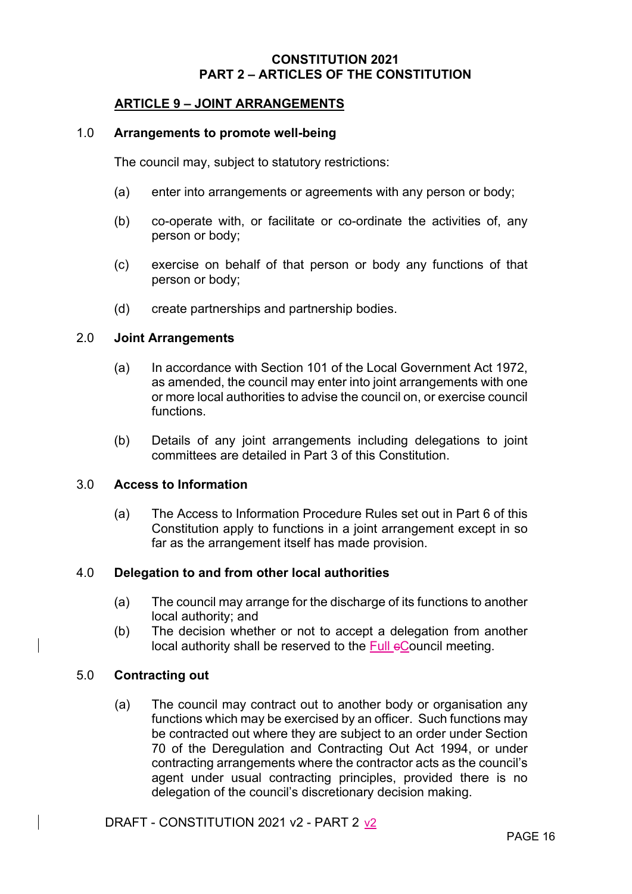## **ARTICLE 9 – JOINT ARRANGEMENTS**

#### 1.0 **Arrangements to promote well-being**

The council may, subject to statutory restrictions:

- (a) enter into arrangements or agreements with any person or body;
- (b) co-operate with, or facilitate or co-ordinate the activities of, any person or body;
- (c) exercise on behalf of that person or body any functions of that person or body;
- (d) create partnerships and partnership bodies.

#### 2.0 **Joint Arrangements**

- (a) In accordance with Section 101 of the Local Government Act 1972, as amended, the council may enter into joint arrangements with one or more local authorities to advise the council on, or exercise council functions.
- (b) Details of any joint arrangements including delegations to joint committees are detailed in Part 3 of this Constitution.

## 3.0 **Access to Information**

(a) The Access to Information Procedure Rules set out in Part 6 of this Constitution apply to functions in a joint arrangement except in so far as the arrangement itself has made provision.

## 4.0 **Delegation to and from other local authorities**

- (a) The council may arrange for the discharge of its functions to another local authority; and
- (b) The decision whether or not to accept a delegation from another local authority shall be reserved to the Full eCouncil meeting.

#### 5.0 **Contracting out**

(a) The council may contract out to another body or organisation any functions which may be exercised by an officer. Such functions may be contracted out where they are subject to an order under Section 70 of the Deregulation and Contracting Out Act 1994, or under contracting arrangements where the contractor acts as the council's agent under usual contracting principles, provided there is no delegation of the council's discretionary decision making.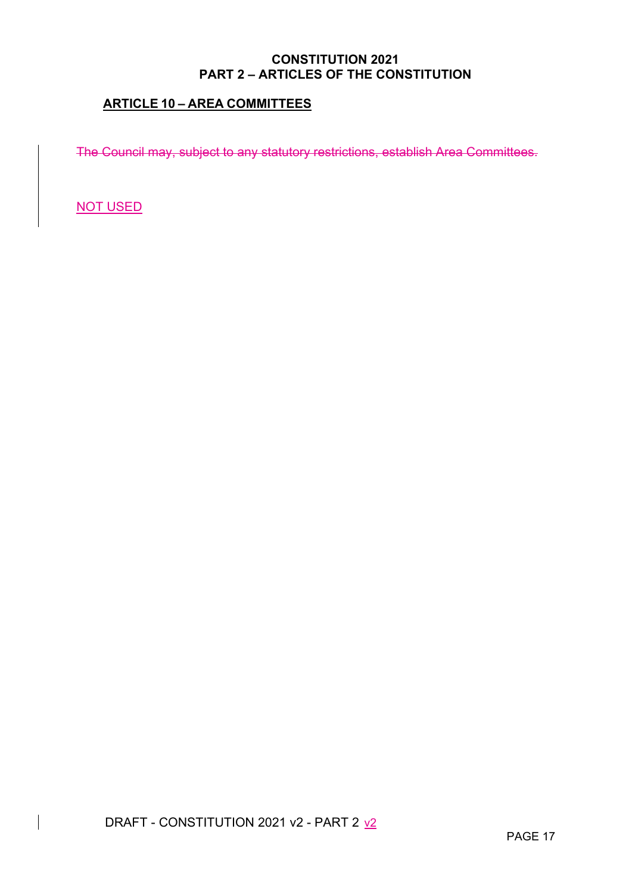# **ARTICLE 10 – AREA COMMITTEES**

The Council may, subject to any statutory restrictions, establish Area Committees.

NOT USED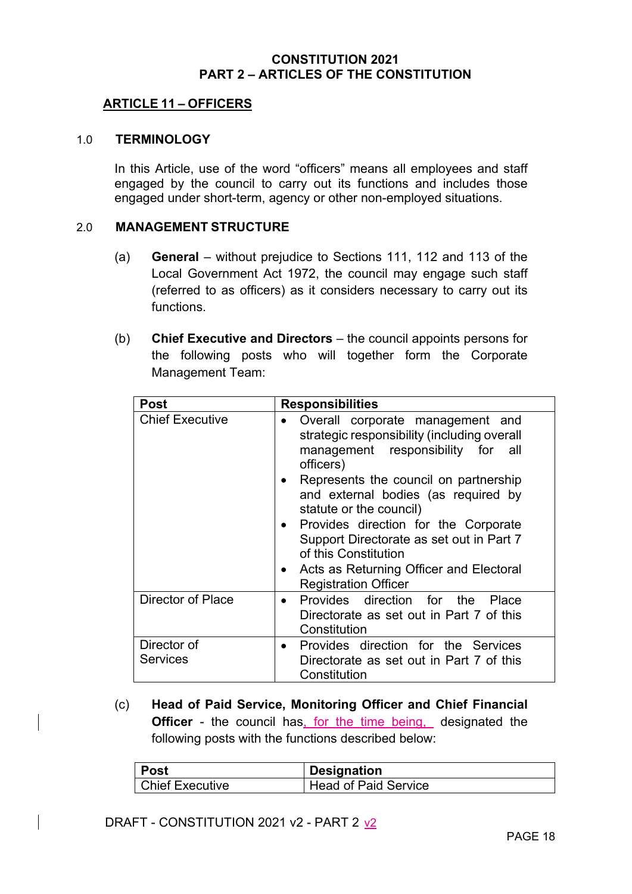## **ARTICLE 11 – OFFICERS**

#### 1.0 **TERMINOLOGY**

In this Article, use of the word "officers" means all employees and staff engaged by the council to carry out its functions and includes those engaged under short-term, agency or other non-employed situations.

#### 2.0 **MANAGEMENT STRUCTURE**

- (a) **General** without prejudice to Sections 111, 112 and 113 of the Local Government Act 1972, the council may engage such staff (referred to as officers) as it considers necessary to carry out its functions.
- (b) **Chief Executive and Directors** the council appoints persons for the following posts who will together form the Corporate Management Team:

| <b>Post</b>                    | <b>Responsibilities</b>                                                                                                                                                                                                                                                                                                          |
|--------------------------------|----------------------------------------------------------------------------------------------------------------------------------------------------------------------------------------------------------------------------------------------------------------------------------------------------------------------------------|
| <b>Chief Executive</b>         | Overall corporate management and<br>strategic responsibility (including overall<br>management responsibility for all<br>officers)<br>Represents the council on partnership<br>and external bodies (as required by<br>statute or the council)<br>Provides direction for the Corporate<br>Support Directorate as set out in Part 7 |
|                                | of this Constitution<br>Acts as Returning Officer and Electoral<br><b>Registration Officer</b>                                                                                                                                                                                                                                   |
| Director of Place              | Provides direction for the<br>Place<br>Directorate as set out in Part 7 of this<br>Constitution                                                                                                                                                                                                                                  |
| Director of<br><b>Services</b> | Provides direction for the Services<br>$\bullet$<br>Directorate as set out in Part 7 of this<br>Constitution                                                                                                                                                                                                                     |

(c) **Head of Paid Service, Monitoring Officer and Chief Financial Officer** - the council has, for the time being, designated the following posts with the functions described below:

| ∣ Post          | <b>Designation</b>   |
|-----------------|----------------------|
| Chief Executive | Head of Paid Service |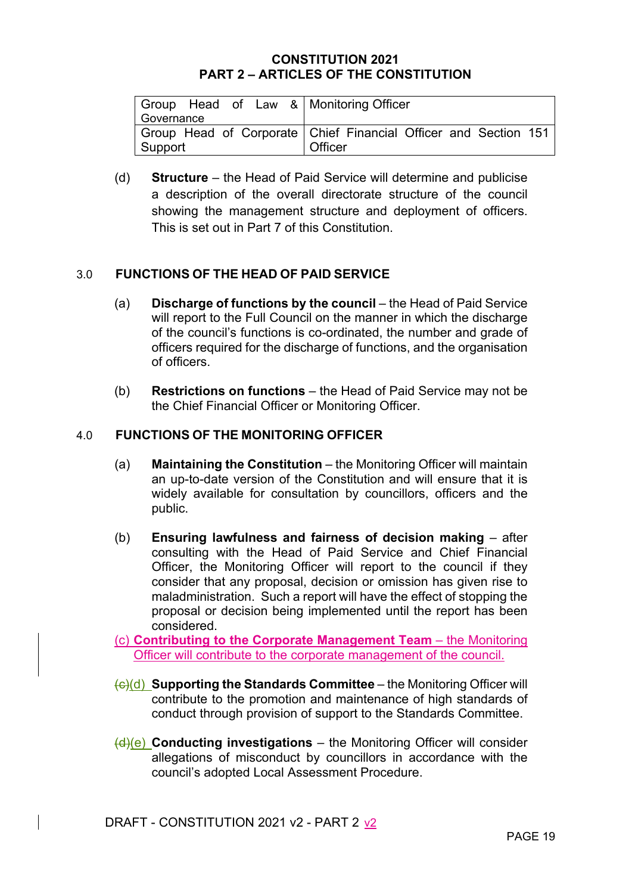| Group Head of Law & Monitoring Officer |                                                                 |
|----------------------------------------|-----------------------------------------------------------------|
| Governance                             |                                                                 |
|                                        | Group Head of Corporate Chief Financial Officer and Section 151 |
| Support                                | Officer                                                         |

(d) **Structure** – the Head of Paid Service will determine and publicise a description of the overall directorate structure of the council showing the management structure and deployment of officers. This is set out in Part 7 of this Constitution.

## 3.0 **FUNCTIONS OF THE HEAD OF PAID SERVICE**

- (a) **Discharge of functions by the council** the Head of Paid Service will report to the Full Council on the manner in which the discharge of the council's functions is co-ordinated, the number and grade of officers required for the discharge of functions, and the organisation of officers.
- (b) **Restrictions on functions** the Head of Paid Service may not be the Chief Financial Officer or Monitoring Officer.

## 4.0 **FUNCTIONS OF THE MONITORING OFFICER**

- (a) **Maintaining the Constitution** the Monitoring Officer will maintain an up-to-date version of the Constitution and will ensure that it is widely available for consultation by councillors, officers and the public.
- (b) **Ensuring lawfulness and fairness of decision making** after consulting with the Head of Paid Service and Chief Financial Officer, the Monitoring Officer will report to the council if they consider that any proposal, decision or omission has given rise to maladministration. Such a report will have the effect of stopping the proposal or decision being implemented until the report has been considered.

(c) **Contributing to the Corporate Management Team** – the Monitoring Officer will contribute to the corporate management of the council.

- (c)(d) **Supporting the Standards Committee** the Monitoring Officer will contribute to the promotion and maintenance of high standards of conduct through provision of support to the Standards Committee.
- (d)(e) **Conducting investigations** the Monitoring Officer will consider allegations of misconduct by councillors in accordance with the council's adopted Local Assessment Procedure.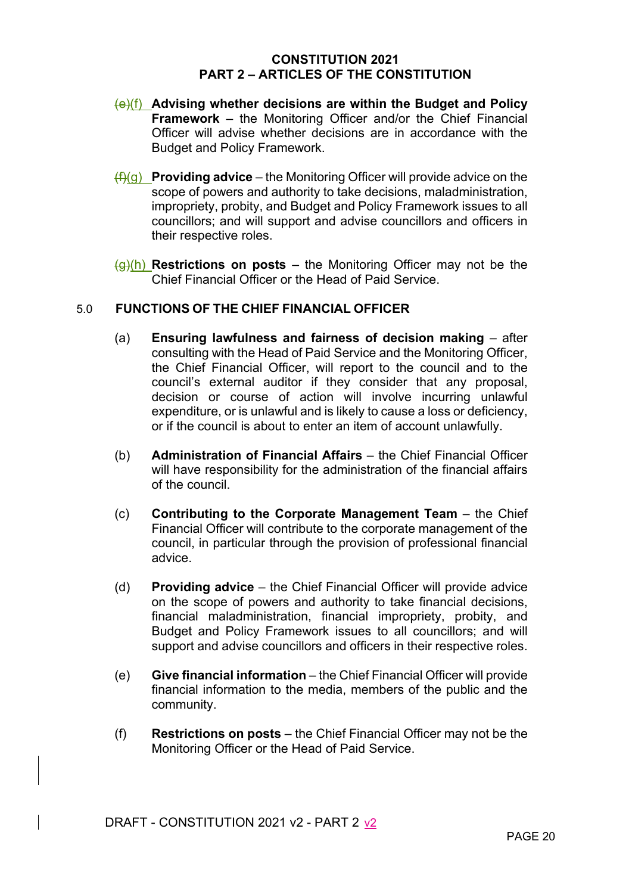- (e)(f) **Advising whether decisions are within the Budget and Policy Framework** – the Monitoring Officer and/or the Chief Financial Officer will advise whether decisions are in accordance with the Budget and Policy Framework.
- (f)(g) **Providing advice** the Monitoring Officer will provide advice on the scope of powers and authority to take decisions, maladministration, impropriety, probity, and Budget and Policy Framework issues to all councillors; and will support and advise councillors and officers in their respective roles.
- (g)(h) **Restrictions on posts** the Monitoring Officer may not be the Chief Financial Officer or the Head of Paid Service.

## 5.0 **FUNCTIONS OF THE CHIEF FINANCIAL OFFICER**

- (a) **Ensuring lawfulness and fairness of decision making** after consulting with the Head of Paid Service and the Monitoring Officer, the Chief Financial Officer, will report to the council and to the council's external auditor if they consider that any proposal, decision or course of action will involve incurring unlawful expenditure, or is unlawful and is likely to cause a loss or deficiency, or if the council is about to enter an item of account unlawfully.
- (b) **Administration of Financial Affairs** the Chief Financial Officer will have responsibility for the administration of the financial affairs of the council.
- (c) **Contributing to the Corporate Management Team** the Chief Financial Officer will contribute to the corporate management of the council, in particular through the provision of professional financial advice.
- (d) **Providing advice** the Chief Financial Officer will provide advice on the scope of powers and authority to take financial decisions, financial maladministration, financial impropriety, probity, and Budget and Policy Framework issues to all councillors; and will support and advise councillors and officers in their respective roles.
- (e) **Give financial information** the Chief Financial Officer will provide financial information to the media, members of the public and the community.
- (f) **Restrictions on posts** the Chief Financial Officer may not be the Monitoring Officer or the Head of Paid Service.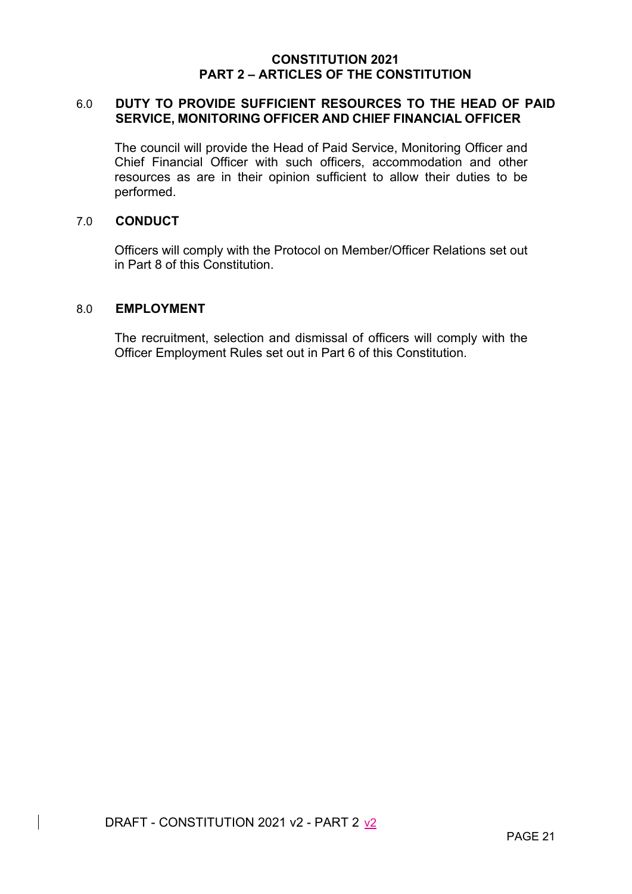## 6.0 **DUTY TO PROVIDE SUFFICIENT RESOURCES TO THE HEAD OF PAID SERVICE, MONITORING OFFICER AND CHIEF FINANCIAL OFFICER**

The council will provide the Head of Paid Service, Monitoring Officer and Chief Financial Officer with such officers, accommodation and other resources as are in their opinion sufficient to allow their duties to be performed.

#### 7.0 **CONDUCT**

Officers will comply with the Protocol on Member/Officer Relations set out in Part 8 of this Constitution.

### 8.0 **EMPLOYMENT**

The recruitment, selection and dismissal of officers will comply with the Officer Employment Rules set out in Part 6 of this Constitution.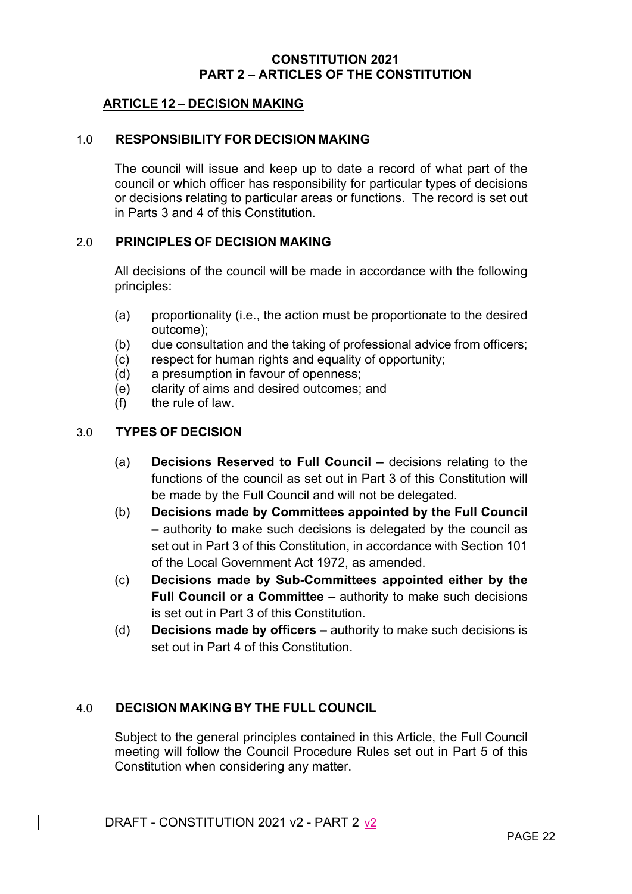## **ARTICLE 12 – DECISION MAKING**

#### 1.0 **RESPONSIBILITY FOR DECISION MAKING**

The council will issue and keep up to date a record of what part of the council or which officer has responsibility for particular types of decisions or decisions relating to particular areas or functions. The record is set out in Parts 3 and 4 of this Constitution.

## 2.0 **PRINCIPLES OF DECISION MAKING**

All decisions of the council will be made in accordance with the following principles:

- (a) proportionality (i.e., the action must be proportionate to the desired outcome);
- (b) due consultation and the taking of professional advice from officers;
- (c) respect for human rights and equality of opportunity;
- (d) a presumption in favour of openness;
- (e) clarity of aims and desired outcomes; and
- (f) the rule of law.

## 3.0 **TYPES OF DECISION**

- (a) **Decisions Reserved to Full Council** decisions relating to the functions of the council as set out in Part 3 of this Constitution will be made by the Full Council and will not be delegated.
- (b) **Decisions made by Committees appointed by the Full Council –** authority to make such decisions is delegated by the council as set out in Part 3 of this Constitution, in accordance with Section 101 of the Local Government Act 1972, as amended.
- (c) **Decisions made by Sub-Committees appointed either by the Full Council or a Committee –** authority to make such decisions is set out in Part 3 of this Constitution.
- (d) **Decisions made by officers** authority to make such decisions is set out in Part 4 of this Constitution.

#### 4.0 **DECISION MAKING BY THE FULL COUNCIL**

Subject to the general principles contained in this Article, the Full Council meeting will follow the Council Procedure Rules set out in Part 5 of this Constitution when considering any matter.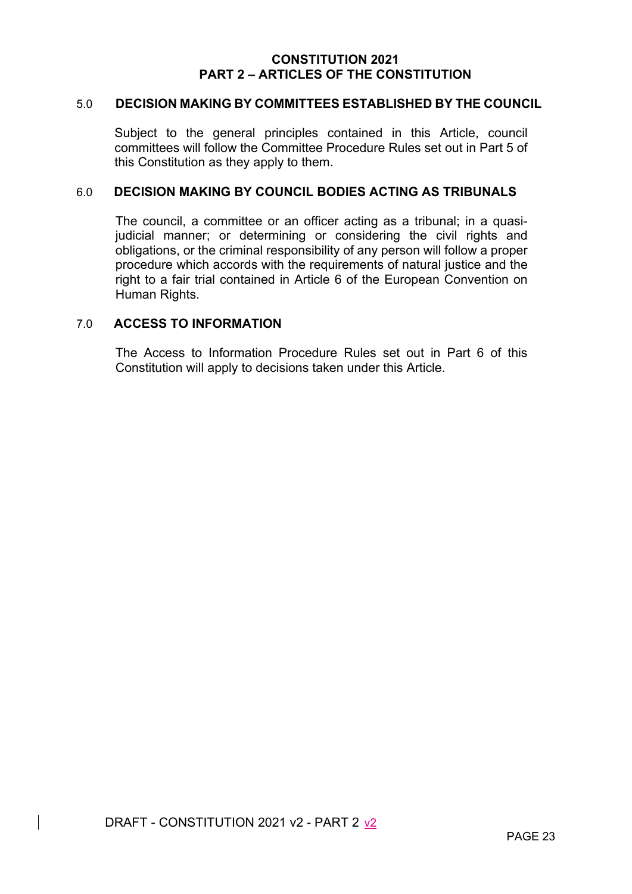#### 5.0 **DECISION MAKING BY COMMITTEES ESTABLISHED BY THE COUNCIL**

Subject to the general principles contained in this Article, council committees will follow the Committee Procedure Rules set out in Part 5 of this Constitution as they apply to them.

#### 6.0 **DECISION MAKING BY COUNCIL BODIES ACTING AS TRIBUNALS**

The council, a committee or an officer acting as a tribunal; in a quasijudicial manner; or determining or considering the civil rights and obligations, or the criminal responsibility of any person will follow a proper procedure which accords with the requirements of natural justice and the right to a fair trial contained in Article 6 of the European Convention on Human Rights.

## 7.0 **ACCESS TO INFORMATION**

The Access to Information Procedure Rules set out in Part 6 of this Constitution will apply to decisions taken under this Article.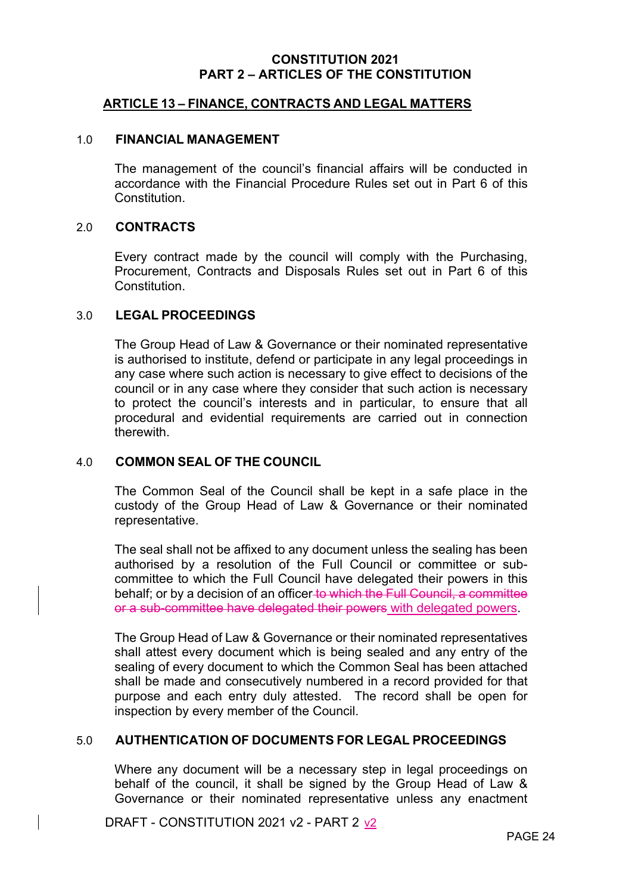#### **ARTICLE 13 – FINANCE, CONTRACTS AND LEGAL MATTERS**

#### 1.0 **FINANCIAL MANAGEMENT**

The management of the council's financial affairs will be conducted in accordance with the Financial Procedure Rules set out in Part 6 of this Constitution.

#### 2.0 **CONTRACTS**

Every contract made by the council will comply with the Purchasing, Procurement, Contracts and Disposals Rules set out in Part 6 of this Constitution.

#### 3.0 **LEGAL PROCEEDINGS**

The Group Head of Law & Governance or their nominated representative is authorised to institute, defend or participate in any legal proceedings in any case where such action is necessary to give effect to decisions of the council or in any case where they consider that such action is necessary to protect the council's interests and in particular, to ensure that all procedural and evidential requirements are carried out in connection therewith.

## 4.0 **COMMON SEAL OF THE COUNCIL**

The Common Seal of the Council shall be kept in a safe place in the custody of the Group Head of Law & Governance or their nominated representative.

The seal shall not be affixed to any document unless the sealing has been authorised by a resolution of the Full Council or committee or subcommittee to which the Full Council have delegated their powers in this behalf; or by a decision of an officer to which the Full Council, a committee or a sub-committee have delegated their powers with delegated powers.

The Group Head of Law & Governance or their nominated representatives shall attest every document which is being sealed and any entry of the sealing of every document to which the Common Seal has been attached shall be made and consecutively numbered in a record provided for that purpose and each entry duly attested. The record shall be open for inspection by every member of the Council.

#### 5.0 **AUTHENTICATION OF DOCUMENTS FOR LEGAL PROCEEDINGS**

Where any document will be a necessary step in legal proceedings on behalf of the council, it shall be signed by the Group Head of Law & Governance or their nominated representative unless any enactment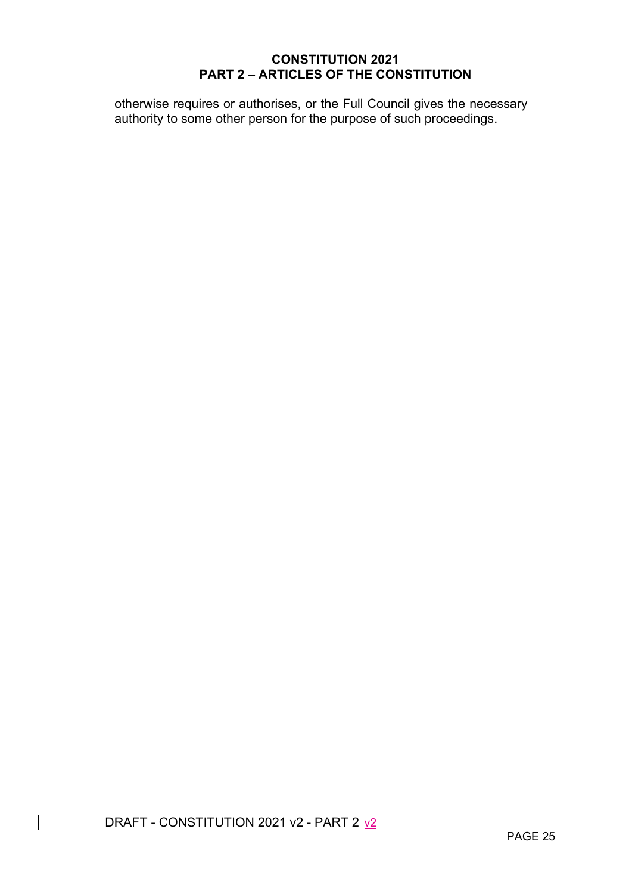otherwise requires or authorises, or the Full Council gives the necessary authority to some other person for the purpose of such proceedings.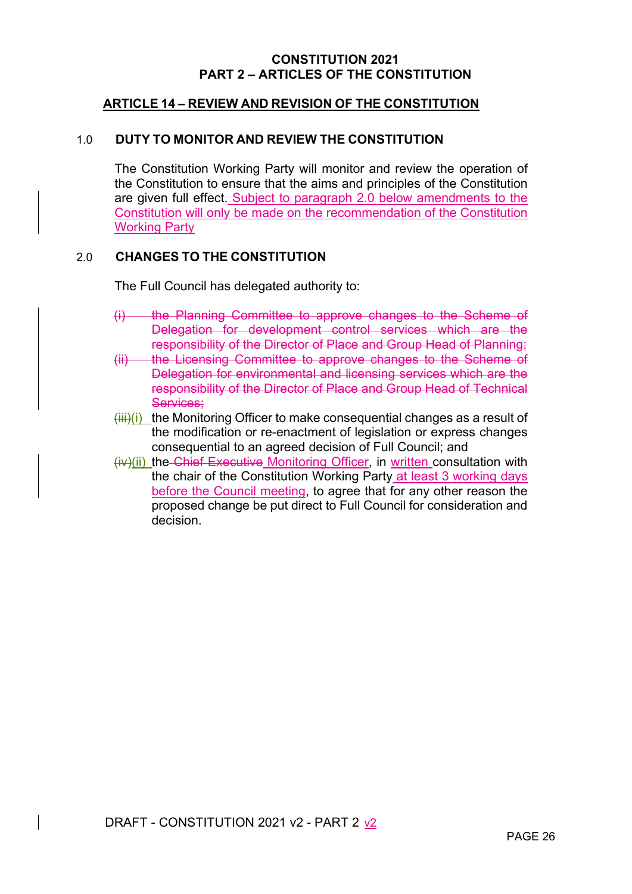## **ARTICLE 14 – REVIEW AND REVISION OF THE CONSTITUTION**

#### 1.0 **DUTY TO MONITOR AND REVIEW THE CONSTITUTION**

The Constitution Working Party will monitor and review the operation of the Constitution to ensure that the aims and principles of the Constitution are given full effect. Subject to paragraph 2.0 below amendments to the Constitution will only be made on the recommendation of the Constitution Working Party

#### 2.0 **CHANGES TO THE CONSTITUTION**

The Full Council has delegated authority to:

- (i) the Planning Committee to approve changes to the Scheme of Delegation for development control services which are the responsibility of the Director of Place and Group Head of Planning;
- (ii) the Licensing Committee to approve changes to the Scheme of Delegation for environmental and licensing services which are the responsibility of the Director of Place and Group Head of Technical Services;
- $(iii)(i)$  the Monitoring Officer to make consequential changes as a result of the modification or re-enactment of legislation or express changes consequential to an agreed decision of Full Council; and
- (iv)(ii) the Chief Executive Monitoring Officer, in written consultation with the chair of the Constitution Working Party at least 3 working days before the Council meeting, to agree that for any other reason the proposed change be put direct to Full Council for consideration and decision.